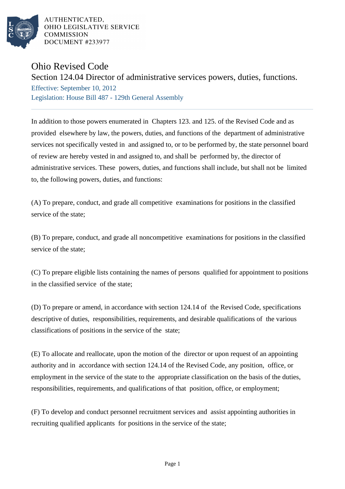

AUTHENTICATED. OHIO LEGISLATIVE SERVICE **COMMISSION** DOCUMENT #233977

## Ohio Revised Code

Section 124.04 Director of administrative services powers, duties, functions.

Effective: September 10, 2012 Legislation: House Bill 487 - 129th General Assembly

In addition to those powers enumerated in Chapters 123. and 125. of the Revised Code and as provided elsewhere by law, the powers, duties, and functions of the department of administrative services not specifically vested in and assigned to, or to be performed by, the state personnel board of review are hereby vested in and assigned to, and shall be performed by, the director of administrative services. These powers, duties, and functions shall include, but shall not be limited to, the following powers, duties, and functions:

(A) To prepare, conduct, and grade all competitive examinations for positions in the classified service of the state;

(B) To prepare, conduct, and grade all noncompetitive examinations for positions in the classified service of the state;

(C) To prepare eligible lists containing the names of persons qualified for appointment to positions in the classified service of the state;

(D) To prepare or amend, in accordance with section 124.14 of the Revised Code, specifications descriptive of duties, responsibilities, requirements, and desirable qualifications of the various classifications of positions in the service of the state;

(E) To allocate and reallocate, upon the motion of the director or upon request of an appointing authority and in accordance with section 124.14 of the Revised Code, any position, office, or employment in the service of the state to the appropriate classification on the basis of the duties, responsibilities, requirements, and qualifications of that position, office, or employment;

(F) To develop and conduct personnel recruitment services and assist appointing authorities in recruiting qualified applicants for positions in the service of the state;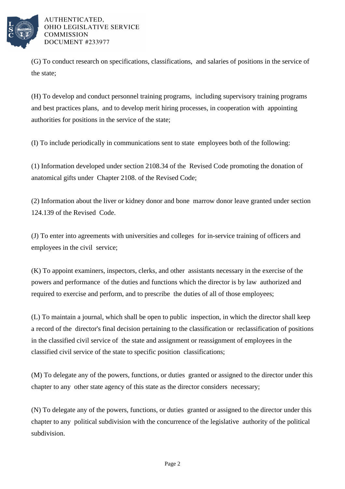

AUTHENTICATED. OHIO LEGISLATIVE SERVICE **COMMISSION** DOCUMENT #233977

(G) To conduct research on specifications, classifications, and salaries of positions in the service of the state;

(H) To develop and conduct personnel training programs, including supervisory training programs and best practices plans, and to develop merit hiring processes, in cooperation with appointing authorities for positions in the service of the state;

(I) To include periodically in communications sent to state employees both of the following:

(1) Information developed under section 2108.34 of the Revised Code promoting the donation of anatomical gifts under Chapter 2108. of the Revised Code;

(2) Information about the liver or kidney donor and bone marrow donor leave granted under section 124.139 of the Revised Code.

(J) To enter into agreements with universities and colleges for in-service training of officers and employees in the civil service;

(K) To appoint examiners, inspectors, clerks, and other assistants necessary in the exercise of the powers and performance of the duties and functions which the director is by law authorized and required to exercise and perform, and to prescribe the duties of all of those employees;

(L) To maintain a journal, which shall be open to public inspection, in which the director shall keep a record of the director's final decision pertaining to the classification or reclassification of positions in the classified civil service of the state and assignment or reassignment of employees in the classified civil service of the state to specific position classifications;

(M) To delegate any of the powers, functions, or duties granted or assigned to the director under this chapter to any other state agency of this state as the director considers necessary;

(N) To delegate any of the powers, functions, or duties granted or assigned to the director under this chapter to any political subdivision with the concurrence of the legislative authority of the political subdivision.